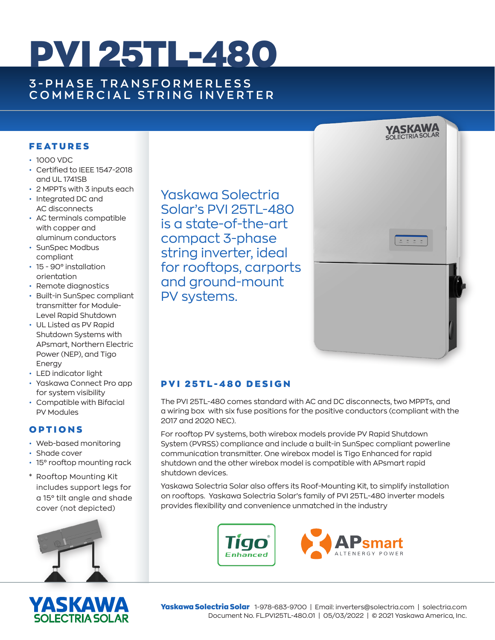# PVI 25TL-480

## **3 - P H A S E T R A N S F O R M E R L E S S COMMERCIAL STRING INVERTER**

#### **FEATURES**

- 1000 VDC
- Certified to IEEE 1547-2018 and UL 1741SB
- 2 MPPTs with 3 inputs each
- Integrated DC and AC disconnects
- AC terminals compatible with copper and aluminum conductors
- SunSpec Modbus compliant
- 15 90° installation orientation
- Remote diagnostics
- Built-in SunSpec compliant transmitter for Module-Level Rapid Shutdown
- UL Listed as PV Rapid Shutdown Systems with APsmart, Northern Electric Power (NEP), and Tigo Energy
- LED indicator light
- Yaskawa Connect Pro app for system visibility
- Compatible with Bifacial PV Modules

#### OPTIONS

- Web-based monitoring
- Shade cover
- 15° rooftop mounting rack
- \* Rooftop Mounting Kit includes support legs for a 15° tilt angle and shade cover (not depicted)





Yaskawa Solectria Solar's PVI 25TL-480 is a state-of-the-art compact 3-phase string inverter, ideal for rooftops, carports and ground-mount PV systems.



### PVI 25TL-480 DESIGN

The PVI 25TL-480 comes standard with AC and DC disconnects, two MPPTs, and a wiring box with six fuse positions for the positive conductors (compliant with the 2017 and 2020 NEC).

For rooftop PV systems, both wirebox models provide PV Rapid Shutdown System (PVRSS) compliance and include a built-in SunSpec compliant powerline communication transmitter. One wirebox model is Tigo Enhanced for rapid shutdown and the other wirebox model is compatible with APsmart rapid shutdown devices.

Yaskawa Solectria Solar also offers its Roof-Mounting Kit, to simplify installation on rooftops. Yaskawa Solectria Solar's family of PVI 25TL-480 inverter models provides flexibility and convenience unmatched in the industry





Yaskawa Solectria Solar 1-978-683-9700 | Email: inverters@solectria.com | solectria.com Document No. FL.PVI25TL-480.01 | 05/03/2022 | © 2021 Yaskawa America, Inc.